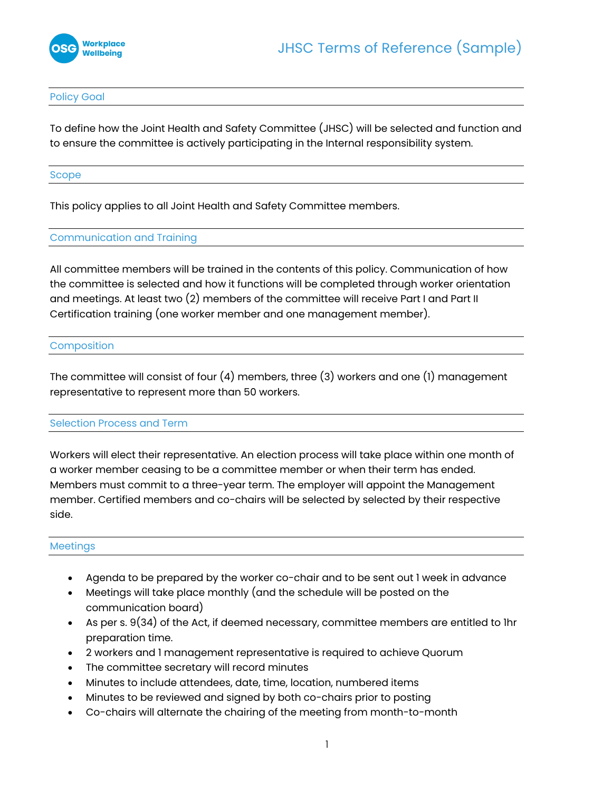

#### Policy Goal

To define how the Joint Health and Safety Committee (JHSC) will be selected and function and to ensure the committee is actively participating in the Internal responsibility system.

#### Scope

This policy applies to all Joint Health and Safety Committee members.

## Communication and Training

All committee members will be trained in the contents of this policy. Communication of how the committee is selected and how it functions will be completed through worker orientation and meetings. At least two (2) members of the committee will receive Part I and Part II Certification training (one worker member and one management member).

#### Composition

The committee will consist of four (4) members, three (3) workers and one (1) management representative to represent more than 50 workers.

## Selection Process and Term

Workers will elect their representative. An election process will take place within one month of a worker member ceasing to be a committee member or when their term has ended. Members must commit to a three-year term. The employer will appoint the Management member. Certified members and co-chairs will be selected by selected by their respective side.

#### Meetings

- Agenda to be prepared by the worker co-chair and to be sent out 1 week in advance
- Meetings will take place monthly (and the schedule will be posted on the communication board)
- As per s. 9(34) of the Act, if deemed necessary, committee members are entitled to 1hr preparation time.
- 2 workers and 1 management representative is required to achieve Quorum
- The committee secretary will record minutes
- Minutes to include attendees, date, time, location, numbered items
- Minutes to be reviewed and signed by both co-chairs prior to posting
- Co-chairs will alternate the chairing of the meeting from month-to-month